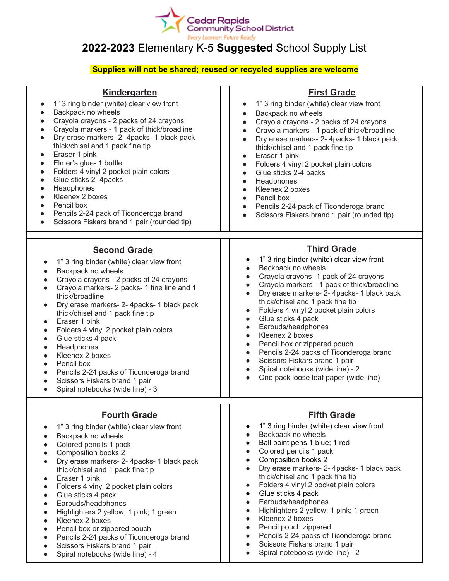

## **2022-2023** Elementary K-5 **Suggested** School Supply List

## **Supplies will not be shared; reused or recycled supplies are welcome**

| <b>Kindergarten</b>                                                                                                                                                                                                                                                                                                                                                                                                                                                                                                                                                                                                | <b>First Grade</b>                                                                                                                                                                                                                                                                                                                                                                                                                                                                                                                                                                                                                                                                                                                         |
|--------------------------------------------------------------------------------------------------------------------------------------------------------------------------------------------------------------------------------------------------------------------------------------------------------------------------------------------------------------------------------------------------------------------------------------------------------------------------------------------------------------------------------------------------------------------------------------------------------------------|--------------------------------------------------------------------------------------------------------------------------------------------------------------------------------------------------------------------------------------------------------------------------------------------------------------------------------------------------------------------------------------------------------------------------------------------------------------------------------------------------------------------------------------------------------------------------------------------------------------------------------------------------------------------------------------------------------------------------------------------|
| 1" 3 ring binder (white) clear view front<br>Backpack no wheels<br>Crayola crayons - 2 packs of 24 crayons<br>Crayola markers - 1 pack of thick/broadline<br>Dry erase markers- 2- 4packs- 1 black pack<br>$\bullet$<br>thick/chisel and 1 pack fine tip<br>Eraser 1 pink<br>Elmer's glue- 1 bottle<br>$\bullet$<br>Folders 4 vinyl 2 pocket plain colors<br>$\bullet$<br>Glue sticks 2-4packs<br>$\bullet$<br>Headphones<br>$\bullet$<br>Kleenex 2 boxes<br>Pencil box<br>Pencils 2-24 pack of Ticonderoga brand<br>Scissors Fiskars brand 1 pair (rounded tip)                                                   | 1" 3 ring binder (white) clear view front<br>$\bullet$<br>Backpack no wheels<br>$\bullet$<br>Crayola crayons - 2 packs of 24 crayons<br>$\bullet$<br>Crayola markers - 1 pack of thick/broadline<br>Dry erase markers- 2-4packs-1 black pack<br>$\bullet$<br>thick/chisel and 1 pack fine tip<br>Eraser 1 pink<br>$\bullet$<br>Folders 4 vinyl 2 pocket plain colors<br>$\bullet$<br>Glue sticks 2-4 packs<br>$\bullet$<br>Headphones<br>$\bullet$<br>Kleenex 2 boxes<br>$\bullet$<br>Pencil box<br>$\bullet$<br>Pencils 2-24 pack of Ticonderoga brand<br>$\bullet$<br>Scissors Fiskars brand 1 pair (rounded tip)<br>$\bullet$                                                                                                           |
| <b>Second Grade</b><br>1" 3 ring binder (white) clear view front<br>$\bullet$<br>Backpack no wheels<br>Crayola crayons - 2 packs of 24 crayons<br>Crayola markers- 2 packs- 1 fine line and 1<br>thick/broadline<br>Dry erase markers- 2- 4packs- 1 black pack<br>$\bullet$<br>thick/chisel and 1 pack fine tip<br>Eraser 1 pink<br>Folders 4 vinyl 2 pocket plain colors<br>$\bullet$<br>Glue sticks 4 pack<br>Headphones<br>Kleenex 2 boxes<br>Pencil box<br>Pencils 2-24 packs of Ticonderoga brand<br>$\bullet$<br>Scissors Fiskars brand 1 pair<br>$\bullet$<br>Spiral notebooks (wide line) - 3<br>$\bullet$ | <b>Third Grade</b><br>1" 3 ring binder (white) clear view front<br>Backpack no wheels<br>$\bullet$<br>Crayola crayons- 1 pack of 24 crayons<br>$\bullet$<br>Crayola markers - 1 pack of thick/broadline<br>$\bullet$<br>Dry erase markers- 2- 4packs- 1 black pack<br>$\bullet$<br>thick/chisel and 1 pack fine tip<br>Folders 4 vinyl 2 pocket plain colors<br>$\bullet$<br>Glue sticks 4 pack<br>$\bullet$<br>Earbuds/headphones<br>$\bullet$<br>Kleenex 2 boxes<br>$\bullet$<br>Pencil box or zippered pouch<br>$\bullet$<br>Pencils 2-24 packs of Ticonderoga brand<br>$\bullet$<br>Scissors Fiskars brand 1 pair<br>$\bullet$<br>Spiral notebooks (wide line) - 2<br>$\bullet$<br>One pack loose leaf paper (wide line)<br>$\bullet$  |
| <b>Fourth Grade</b><br>1" 3 ring binder (white) clear view front<br>Backpack no wheels<br>Colored pencils 1 pack<br>Composition books 2<br>Dry erase markers- 2- 4packs- 1 black pack<br>thick/chisel and 1 pack fine tip<br>Eraser 1 pink<br>Folders 4 vinyl 2 pocket plain colors<br>Glue sticks 4 pack<br>$\bullet$<br>Earbuds/headphones<br>Highlighters 2 yellow; 1 pink; 1 green<br>Kleenex 2 boxes<br>Pencil box or zippered pouch<br>Pencils 2-24 packs of Ticonderoga brand<br>Scissors Fiskars brand 1 pair<br>Spiral notebooks (wide line) - 4<br>$\bullet$                                             | <b>Fifth Grade</b><br>1" 3 ring binder (white) clear view front<br>Backpack no wheels<br>$\bullet$<br>Ball point pens 1 blue; 1 red<br>$\bullet$<br>Colored pencils 1 pack<br>$\bullet$<br>Composition books 2<br>$\bullet$<br>Dry erase markers- 2- 4packs- 1 black pack<br>$\bullet$<br>thick/chisel and 1 pack fine tip<br>Folders 4 vinyl 2 pocket plain colors<br>$\bullet$<br>Glue sticks 4 pack<br>$\bullet$<br>Earbuds/headphones<br>$\bullet$<br>Highlighters 2 yellow; 1 pink; 1 green<br>$\bullet$<br>Kleenex 2 boxes<br>$\bullet$<br>Pencil pouch zippered<br>$\bullet$<br>Pencils 2-24 packs of Ticonderoga brand<br>$\bullet$<br>Scissors Fiskars brand 1 pair<br>$\bullet$<br>Spiral notebooks (wide line) - 2<br>$\bullet$ |